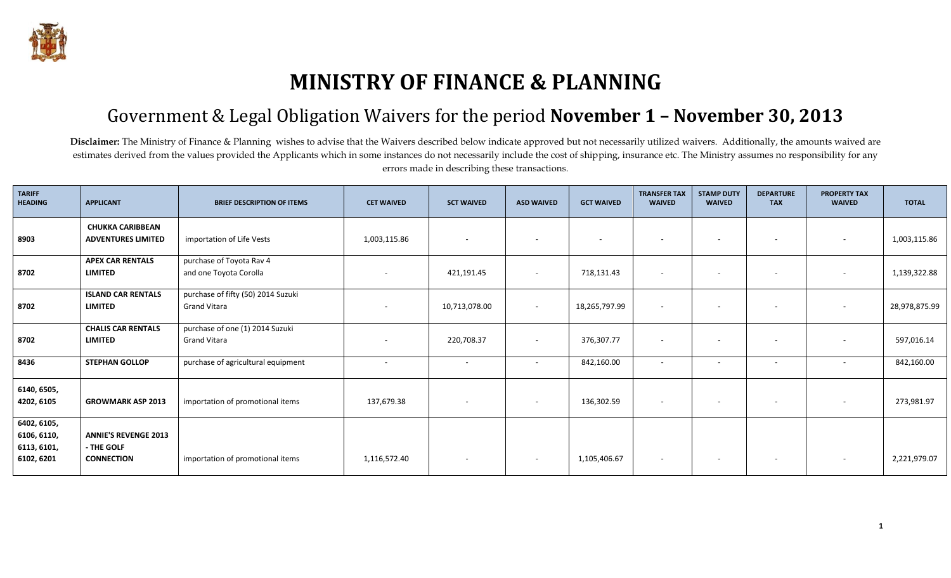

## **MINISTRY OF FINANCE & PLANNING**

## Government & Legal Obligation Waivers for the period **November 1 – November 30, 2013**

Disclaimer: The Ministry of Finance & Planning wishes to advise that the Waivers described below indicate approved but not necessarily utilized waivers. Additionally, the amounts waived are estimates derived from the values provided the Applicants which in some instances do not necessarily include the cost of shipping, insurance etc. The Ministry assumes no responsibility for any errors made in describing these transactions.

| <b>TARIFF</b><br><b>HEADING</b>                         | <b>APPLICANT</b>                                               | <b>BRIEF DESCRIPTION OF ITEMS</b>                         | <b>CET WAIVED</b>        | <b>SCT WAIVED</b>        | <b>ASD WAIVED</b>        | <b>GCT WAIVED</b> | <b>TRANSFER TAX</b><br><b>WAIVED</b> | <b>STAMP DUTY</b><br><b>WAIVED</b> | <b>DEPARTURE</b><br><b>TAX</b> | <b>PROPERTY TAX</b><br><b>WAIVED</b> | <b>TOTAL</b>  |
|---------------------------------------------------------|----------------------------------------------------------------|-----------------------------------------------------------|--------------------------|--------------------------|--------------------------|-------------------|--------------------------------------|------------------------------------|--------------------------------|--------------------------------------|---------------|
| 8903                                                    | <b>CHUKKA CARIBBEAN</b><br><b>ADVENTURES LIMITED</b>           | importation of Life Vests                                 | 1,003,115.86             | $\sim$                   |                          | $\sim$            |                                      | $\overline{\phantom{a}}$           | $\overline{\phantom{a}}$       | $\overline{\phantom{a}}$             | 1,003,115.86  |
| 8702                                                    | <b>APEX CAR RENTALS</b><br><b>LIMITED</b>                      | purchase of Toyota Rav 4<br>and one Toyota Corolla        |                          | 421,191.45               |                          | 718,131.43        |                                      |                                    |                                |                                      | 1,139,322.88  |
| 8702                                                    | <b>ISLAND CAR RENTALS</b><br><b>LIMITED</b>                    | purchase of fifty (50) 2014 Suzuki<br><b>Grand Vitara</b> |                          | 10,713,078.00            |                          | 18,265,797.99     |                                      | ٠                                  |                                |                                      | 28,978,875.99 |
| 8702                                                    | <b>CHALIS CAR RENTALS</b><br><b>LIMITED</b>                    | purchase of one (1) 2014 Suzuki<br><b>Grand Vitara</b>    |                          | 220,708.37               | $\overline{\phantom{0}}$ | 376,307.77        |                                      | $\overline{\phantom{a}}$           |                                |                                      | 597,016.14    |
| 8436                                                    | <b>STEPHAN GOLLOP</b>                                          | purchase of agricultural equipment                        | $\overline{\phantom{a}}$ | $\sim$                   | $\overline{\phantom{0}}$ | 842,160.00        | $\sim$                               | $\overline{\phantom{a}}$           | $\overline{\phantom{a}}$       | $\overline{\phantom{a}}$             | 842,160.00    |
| 6140, 6505,<br>4202, 6105                               | <b>GROWMARK ASP 2013</b>                                       | importation of promotional items                          | 137,679.38               | $\overline{\phantom{a}}$ |                          | 136,302.59        |                                      | $\overline{\phantom{a}}$           | $\overline{\phantom{a}}$       |                                      | 273,981.97    |
| 6402, 6105,<br>6106, 6110,<br>6113, 6101,<br>6102, 6201 | <b>ANNIE'S REVENGE 2013</b><br>- THE GOLF<br><b>CONNECTION</b> | importation of promotional items                          | 1,116,572.40             | $\sim$                   | $\overline{\phantom{a}}$ | 1,105,406.67      | $\overline{\phantom{a}}$             | $\overline{\phantom{a}}$           | $\overline{\phantom{a}}$       |                                      | 2,221,979.07  |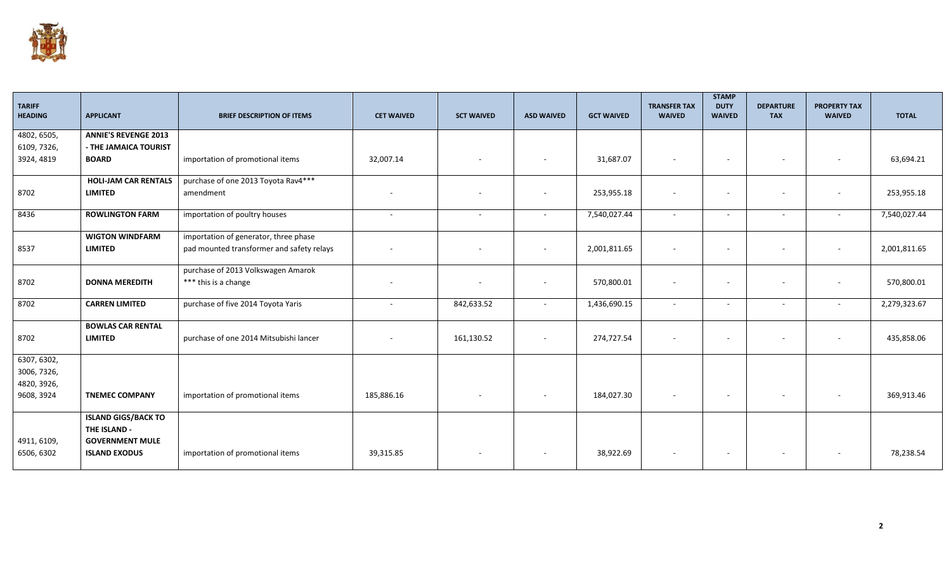

| <b>TARIFF</b><br><b>HEADING</b> | <b>APPLICANT</b>                           | <b>BRIEF DESCRIPTION OF ITEMS</b>         | <b>CET WAIVED</b> | <b>SCT WAIVED</b>        | <b>ASD WAIVED</b>        | <b>GCT WAIVED</b> | <b>TRANSFER TAX</b><br><b>WAIVED</b> | <b>STAMP</b><br><b>DUTY</b><br><b>WAIVED</b> | <b>DEPARTURE</b><br><b>TAX</b> | <b>PROPERTY TAX</b><br><b>WAIVED</b> | <b>TOTAL</b> |
|---------------------------------|--------------------------------------------|-------------------------------------------|-------------------|--------------------------|--------------------------|-------------------|--------------------------------------|----------------------------------------------|--------------------------------|--------------------------------------|--------------|
| 4802, 6505,                     | <b>ANNIE'S REVENGE 2013</b>                |                                           |                   |                          |                          |                   |                                      |                                              |                                |                                      |              |
| 6109, 7326,                     | - THE JAMAICA TOURIST                      |                                           |                   |                          |                          |                   |                                      |                                              |                                |                                      |              |
| 3924, 4819                      | <b>BOARD</b>                               | importation of promotional items          | 32,007.14         | $\overline{\phantom{a}}$ |                          | 31,687.07         | $\blacksquare$                       | $\overline{\phantom{a}}$                     | $\sim$                         | $\sim$                               | 63,694.21    |
|                                 | <b>HOLI-JAM CAR RENTALS</b>                | purchase of one 2013 Toyota Rav4***       |                   |                          |                          |                   |                                      |                                              |                                |                                      |              |
| 8702                            | <b>LIMITED</b>                             | amendment                                 |                   |                          |                          | 253,955.18        | $\blacksquare$                       |                                              |                                |                                      | 253,955.18   |
| 8436                            | <b>ROWLINGTON FARM</b>                     | importation of poultry houses             | $\sim$            | $\overline{\phantom{a}}$ | $\sim$                   | 7,540,027.44      | $\sim$                               | $\overline{\phantom{a}}$                     | $\sim$                         | $\sim$                               | 7,540,027.44 |
|                                 | <b>WIGTON WINDFARM</b>                     | importation of generator, three phase     |                   |                          |                          |                   |                                      |                                              |                                |                                      |              |
| 8537                            | <b>LIMITED</b>                             | pad mounted transformer and safety relays |                   |                          |                          | 2,001,811.65      | $\overline{\phantom{a}}$             |                                              |                                | $\overline{\phantom{a}}$             | 2,001,811.65 |
|                                 |                                            | purchase of 2013 Volkswagen Amarok        |                   |                          |                          |                   |                                      |                                              |                                |                                      |              |
| 8702                            | <b>DONNA MEREDITH</b>                      | *** this is a change                      |                   | $\overline{\phantom{a}}$ | $\overline{\phantom{a}}$ | 570,800.01        | $\blacksquare$                       | $\overline{\phantom{a}}$                     | $\sim$                         | $\sim$                               | 570,800.01   |
| 8702                            | <b>CARREN LIMITED</b>                      | purchase of five 2014 Toyota Yaris        | $\overline{a}$    | 842,633.52               | $\sim$                   | 1,436,690.15      | $\sim$                               | $\overline{\phantom{a}}$                     | $\sim$                         | $\sim$                               | 2,279,323.67 |
|                                 | <b>BOWLAS CAR RENTAL</b>                   |                                           |                   |                          |                          |                   |                                      |                                              |                                |                                      |              |
| 8702                            | <b>LIMITED</b>                             | purchase of one 2014 Mitsubishi lancer    |                   | 161,130.52               | $\overline{\phantom{a}}$ | 274,727.54        |                                      | $\overline{\phantom{a}}$                     | $\overline{\phantom{a}}$       |                                      | 435,858.06   |
| 6307, 6302,                     |                                            |                                           |                   |                          |                          |                   |                                      |                                              |                                |                                      |              |
| 3006, 7326,                     |                                            |                                           |                   |                          |                          |                   |                                      |                                              |                                |                                      |              |
| 4820, 3926,                     |                                            |                                           |                   |                          |                          |                   |                                      |                                              |                                |                                      |              |
| 9608, 3924                      | <b>TNEMEC COMPANY</b>                      | importation of promotional items          | 185,886.16        | $\overline{\phantom{a}}$ | $\sim$                   | 184,027.30        | $\overline{\phantom{a}}$             | $\sim$                                       | $\sim$                         | $\sim$                               | 369,913.46   |
|                                 | <b>ISLAND GIGS/BACK TO</b><br>THE ISLAND - |                                           |                   |                          |                          |                   |                                      |                                              |                                |                                      |              |
| 4911, 6109,                     | <b>GOVERNMENT MULE</b>                     |                                           |                   |                          |                          |                   |                                      |                                              |                                |                                      |              |
| 6506, 6302                      | <b>ISLAND EXODUS</b>                       | importation of promotional items          | 39,315.85         | $\sim$                   | $\sim$                   | 38,922.69         |                                      | $\overline{\phantom{a}}$                     | $\sim$                         |                                      | 78,238.54    |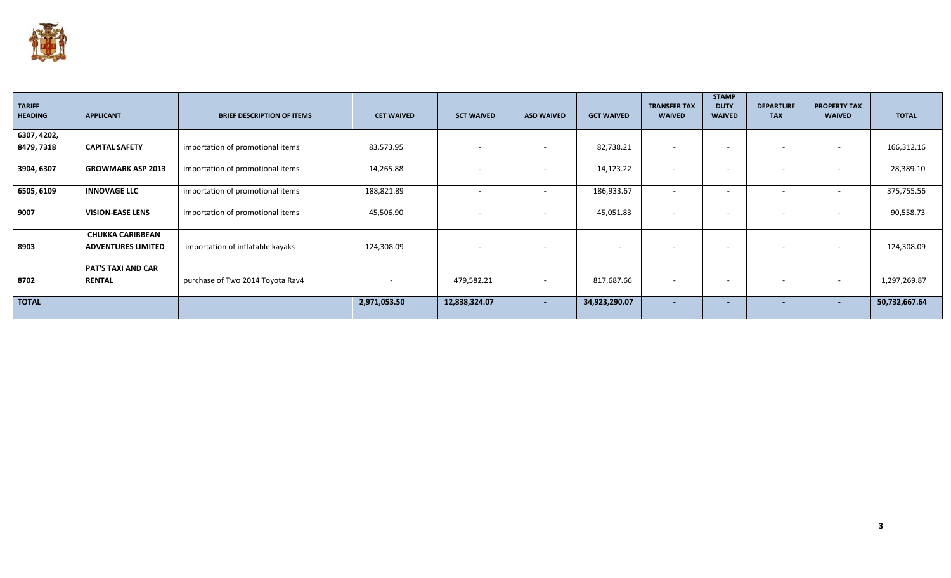

| <b>TARIFF</b><br><b>HEADING</b> | <b>APPLICANT</b>                                     | <b>BRIEF DESCRIPTION OF ITEMS</b> | <b>CET WAIVED</b>        | <b>SCT WAIVED</b> | <b>ASD WAIVED</b>        | <b>GCT WAIVED</b> | <b>TRANSFER TAX</b><br><b>WAIVED</b> | <b>STAMP</b><br><b>DUTY</b><br><b>WAIVED</b> | <b>DEPARTURE</b><br><b>TAX</b> | <b>PROPERTY TAX</b><br><b>WAIVED</b> | <b>TOTAL</b>  |
|---------------------------------|------------------------------------------------------|-----------------------------------|--------------------------|-------------------|--------------------------|-------------------|--------------------------------------|----------------------------------------------|--------------------------------|--------------------------------------|---------------|
| 6307, 4202,                     |                                                      |                                   |                          |                   |                          |                   |                                      |                                              |                                |                                      |               |
| 8479, 7318                      | <b>CAPITAL SAFETY</b>                                | importation of promotional items  | 83,573.95                | $\sim$            | $\overline{\phantom{a}}$ | 82,738.21         | $\overline{\phantom{a}}$             | $\sim$                                       | $\overline{\phantom{0}}$       | $\overline{\phantom{a}}$             | 166,312.16    |
| 3904, 6307                      | <b>GROWMARK ASP 2013</b>                             | importation of promotional items  | 14,265.88                |                   |                          | 14,123.22         |                                      |                                              |                                |                                      | 28,389.10     |
| 6505, 6109                      | <b>INNOVAGE LLC</b>                                  | importation of promotional items  | 188,821.89               | $\sim$            | $\sim$                   | 186,933.67        | $\overline{\phantom{a}}$             |                                              | $\overline{\phantom{0}}$       | $\sim$                               | 375,755.56    |
| 9007                            | <b>VISION-EASE LENS</b>                              | importation of promotional items  | 45,506.90                | $\sim$            |                          | 45,051.83         | $\overline{\phantom{0}}$             |                                              | $\sim$                         | $\overline{\phantom{0}}$             | 90,558.73     |
| 8903                            | <b>CHUKKA CARIBBEAN</b><br><b>ADVENTURES LIMITED</b> | importation of inflatable kayaks  | 124,308.09               | $\sim$            | $\overline{\phantom{a}}$ |                   |                                      | $\sim$                                       | $\overline{\phantom{0}}$       | $\overline{\phantom{0}}$             | 124,308.09    |
| 8702                            | <b>PAT'S TAXI AND CAR</b><br><b>RENTAL</b>           | purchase of Two 2014 Toyota Rav4  | $\overline{\phantom{a}}$ | 479,582.21        | $\overline{\phantom{a}}$ | 817,687.66        |                                      |                                              | $\sim$                         | $\sim$                               | 1,297,269.87  |
| <b>TOTAL</b>                    |                                                      |                                   | 2,971,053.50             | 12,838,324.07     | $\overline{\phantom{a}}$ | 34,923,290.07     | $\overline{\phantom{a}}$             |                                              | $\sim$                         | $\sim$                               | 50,732,667.64 |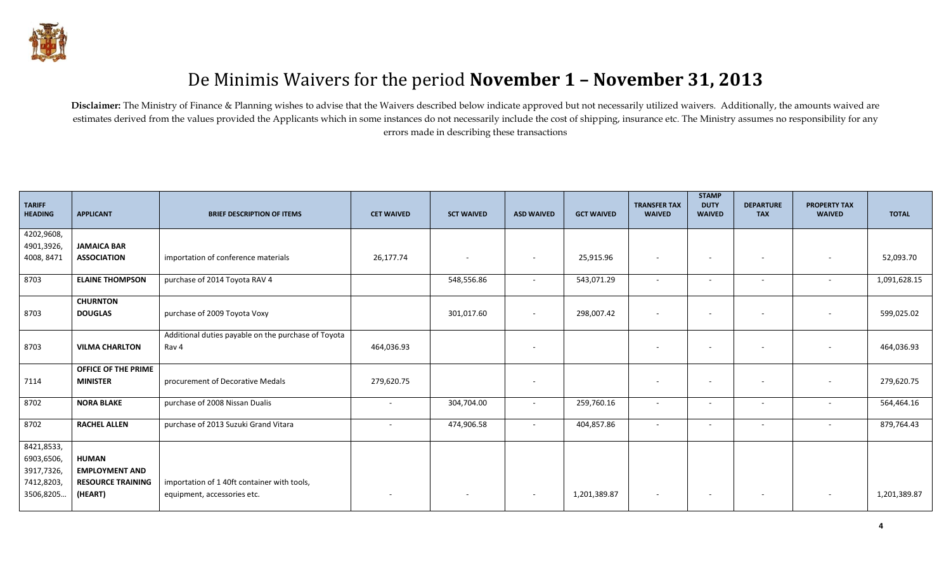

## De Minimis Waivers for the period **November 1 – November 31, 2013**

Disclaimer: The Ministry of Finance & Planning wishes to advise that the Waivers described below indicate approved but not necessarily utilized waivers. Additionally, the amounts waived are estimates derived from the values provided the Applicants which in some instances do not necessarily include the cost of shipping, insurance etc. The Ministry assumes no responsibility for any errors made in describing these transactions

| <b>TARIFF</b><br><b>HEADING</b> | <b>APPLICANT</b>         | <b>BRIEF DESCRIPTION OF ITEMS</b>                   | <b>CET WAIVED</b>        | <b>SCT WAIVED</b>        | <b>ASD WAIVED</b>        | <b>GCT WAIVED</b> | <b>TRANSFER TAX</b><br><b>WAIVED</b> | <b>STAMP</b><br><b>DUTY</b><br><b>WAIVED</b> | <b>DEPARTURE</b><br><b>TAX</b> | <b>PROPERTY TAX</b><br><b>WAIVED</b> | <b>TOTAL</b> |
|---------------------------------|--------------------------|-----------------------------------------------------|--------------------------|--------------------------|--------------------------|-------------------|--------------------------------------|----------------------------------------------|--------------------------------|--------------------------------------|--------------|
| 4202,9608,                      |                          |                                                     |                          |                          |                          |                   |                                      |                                              |                                |                                      |              |
| 4901,3926,                      | <b>JAMAICA BAR</b>       |                                                     |                          |                          |                          |                   |                                      |                                              |                                |                                      |              |
| 4008, 8471                      | <b>ASSOCIATION</b>       | importation of conference materials                 | 26,177.74                | $\overline{\phantom{a}}$ | $\overline{\phantom{a}}$ | 25,915.96         |                                      | $\sim$                                       | $\overline{\phantom{a}}$       |                                      | 52,093.70    |
| 8703                            | <b>ELAINE THOMPSON</b>   | purchase of 2014 Toyota RAV 4                       |                          | 548,556.86               | $\sim$                   | 543,071.29        | $\sim$                               | $\overline{\phantom{a}}$                     | $\overline{\phantom{a}}$       | $\sim$                               | 1,091,628.15 |
|                                 | <b>CHURNTON</b>          |                                                     |                          |                          |                          |                   |                                      |                                              |                                |                                      |              |
| 8703                            | <b>DOUGLAS</b>           | purchase of 2009 Toyota Voxy                        |                          | 301,017.60               | $\sim$                   | 298,007.42        |                                      | $\sim$                                       | $\overline{\phantom{a}}$       |                                      | 599,025.02   |
|                                 |                          | Additional duties payable on the purchase of Toyota |                          |                          |                          |                   |                                      |                                              |                                |                                      |              |
| 8703                            | <b>VILMA CHARLTON</b>    | Rav 4                                               | 464,036.93               |                          | $\overline{\phantom{a}}$ |                   |                                      | $\overline{\phantom{a}}$                     | $\overline{\phantom{a}}$       |                                      | 464,036.93   |
|                                 | OFFICE OF THE PRIME      |                                                     |                          |                          |                          |                   |                                      |                                              |                                |                                      |              |
| 7114                            | <b>MINISTER</b>          | procurement of Decorative Medals                    | 279,620.75               |                          | $\overline{\phantom{a}}$ |                   |                                      | $\sim$                                       | $\overline{\phantom{a}}$       | $\overline{\phantom{a}}$             | 279,620.75   |
| 8702                            | <b>NORA BLAKE</b>        | purchase of 2008 Nissan Dualis                      | $\overline{\phantom{a}}$ | 304,704.00               | $\overline{\phantom{a}}$ | 259,760.16        |                                      | $\overline{\phantom{a}}$                     |                                |                                      | 564,464.16   |
| 8702                            | <b>RACHEL ALLEN</b>      | purchase of 2013 Suzuki Grand Vitara                | $\overline{\phantom{a}}$ | 474,906.58               | $\sim$                   | 404,857.86        |                                      | $\overline{\phantom{a}}$                     | $\overline{\phantom{a}}$       | $\overline{\phantom{a}}$             | 879,764.43   |
| 8421,8533,                      |                          |                                                     |                          |                          |                          |                   |                                      |                                              |                                |                                      |              |
| 6903,6506,                      | <b>HUMAN</b>             |                                                     |                          |                          |                          |                   |                                      |                                              |                                |                                      |              |
| 3917,7326,                      | <b>EMPLOYMENT AND</b>    |                                                     |                          |                          |                          |                   |                                      |                                              |                                |                                      |              |
| 7412,8203,                      | <b>RESOURCE TRAINING</b> | importation of 1 40ft container with tools,         |                          |                          |                          |                   |                                      |                                              |                                |                                      |              |
| 3506,8205                       | (HEART)                  | equipment, accessories etc.                         |                          | $\sim$                   | $\sim$                   | 1,201,389.87      | $\overline{\phantom{a}}$             | $\overline{\phantom{a}}$                     | $\overline{\phantom{a}}$       | $\overline{\phantom{a}}$             | 1,201,389.87 |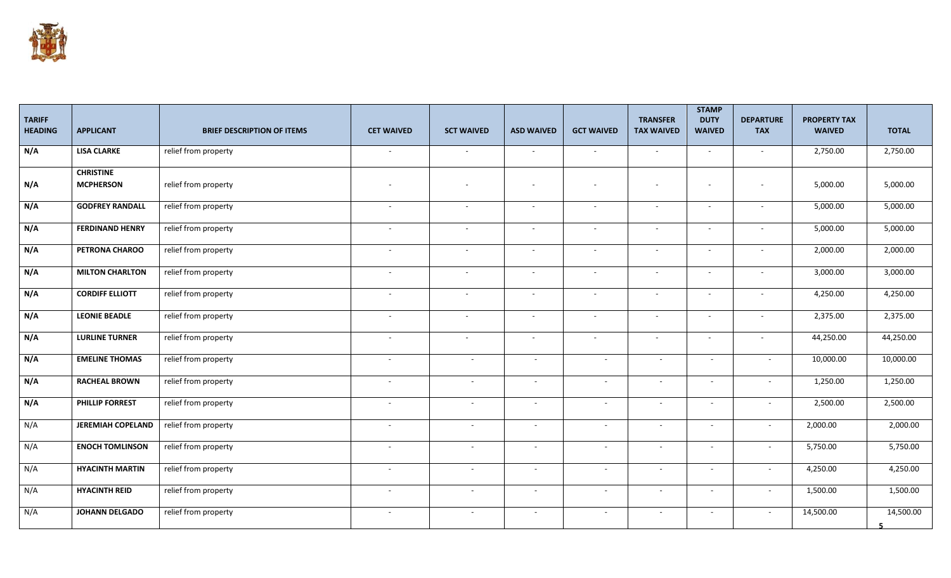

| <b>TARIFF</b><br><b>HEADING</b> | <b>APPLICANT</b>                     | <b>BRIEF DESCRIPTION OF ITEMS</b> | <b>CET WAIVED</b>        | <b>SCT WAIVED</b>        | <b>ASD WAIVED</b>        | <b>GCT WAIVED</b>        | <b>TRANSFER</b><br><b>TAX WAIVED</b> | <b>STAMP</b><br><b>DUTY</b><br><b>WAIVED</b> | <b>DEPARTURE</b><br><b>TAX</b> | <b>PROPERTY TAX</b><br><b>WAIVED</b> | <b>TOTAL</b> |
|---------------------------------|--------------------------------------|-----------------------------------|--------------------------|--------------------------|--------------------------|--------------------------|--------------------------------------|----------------------------------------------|--------------------------------|--------------------------------------|--------------|
| N/A                             | <b>LISA CLARKE</b>                   | relief from property              | $\sim$                   | $\sim$                   | $\sim$                   | $\sim$                   | $\sim$                               | $\sim$                                       | $\sim$                         | 2,750.00                             | 2,750.00     |
| N/A                             | <b>CHRISTINE</b><br><b>MCPHERSON</b> | relief from property              | $\overline{a}$           | $\overline{\phantom{a}}$ |                          | $\sim$                   | $\sim$                               | $\overline{\phantom{a}}$                     | $\sim$                         | 5,000.00                             | 5,000.00     |
| N/A                             | <b>GODFREY RANDALL</b>               | relief from property              | $\sim$                   | $\sim$                   | $\sim$                   | $\sim$                   | $\sim$                               | $\sim$                                       | $\sim$                         | 5,000.00                             | 5,000.00     |
| N/A                             | <b>FERDINAND HENRY</b>               | relief from property              | $\sim$                   | $\sim$                   | $\sim$                   | $\sim$                   | $\sim$                               | $\sim$                                       | $\sim$                         | 5,000.00                             | 5,000.00     |
| N/A                             | PETRONA CHAROO                       | relief from property              | $\sim$                   | $\sim$                   | $\overline{\phantom{a}}$ | $\sim$                   | $\sim$                               | $\overline{\phantom{a}}$                     | $\sim$                         | 2,000.00                             | 2,000.00     |
| N/A                             | <b>MILTON CHARLTON</b>               | relief from property              | $\sim$                   | $\sim$                   | $\sim$                   | $\sim$                   | $\sim$                               | $\sim$                                       | $\sim$                         | 3,000.00                             | 3,000.00     |
| N/A                             | <b>CORDIFF ELLIOTT</b>               | relief from property              | $\sim$                   | $\sim$                   | $\sim$                   | $\sim$                   | $\sim$                               | $\blacksquare$                               | $\sim$                         | 4,250.00                             | 4,250.00     |
| N/A                             | <b>LEONIE BEADLE</b>                 | relief from property              | $\sim$                   | $\sim$                   | $\overline{\phantom{a}}$ | $\sim$                   | $\sim$                               | $\overline{\phantom{a}}$                     | $\sim$                         | 2,375.00                             | 2,375.00     |
| N/A                             | <b>LURLINE TURNER</b>                | relief from property              | $\sim$                   | $\sim$                   | $\sim$                   | $\sim$                   | $\sim$                               | $\sim$                                       | $\sim$                         | 44,250.00                            | 44,250.00    |
| N/A                             | <b>EMELINE THOMAS</b>                | relief from property              | $\sim$                   | $\sim$                   | $\sim$                   | $\sim$                   | $\sim$                               | $\sim$                                       | $\sim$                         | 10,000.00                            | 10,000.00    |
| N/A                             | <b>RACHEAL BROWN</b>                 | relief from property              | $\sim$                   | $\sim$                   | $\sim$                   | $\overline{\phantom{a}}$ | $\sim$                               | $\sim$                                       | $\sim$                         | 1,250.00                             | 1,250.00     |
| N/A                             | <b>PHILLIP FORREST</b>               | relief from property              | $\overline{\phantom{a}}$ | $\sim$                   | $\overline{\phantom{a}}$ | $\overline{\phantom{a}}$ | $\sim$                               | $\sim$                                       | $\overline{\phantom{a}}$       | 2,500.00                             | 2,500.00     |
| N/A                             | <b>JEREMIAH COPELAND</b>             | relief from property              | $\sim$                   | $\sim$                   | $\overline{\phantom{a}}$ | $\overline{\phantom{a}}$ | $\sim$                               | $\blacksquare$                               | $\overline{\phantom{a}}$       | 2,000.00                             | 2,000.00     |
| N/A                             | <b>ENOCH TOMLINSON</b>               | relief from property              | $\sim$                   | $\sim$                   | $\overline{\phantom{a}}$ | $\overline{\phantom{a}}$ | $\sim$                               | $\sim$                                       | $\sim$                         | 5,750.00                             | 5,750.00     |
| N/A                             | <b>HYACINTH MARTIN</b>               | relief from property              | $\overline{\phantom{a}}$ | $\sim$                   | ٠                        |                          | $\overline{\phantom{a}}$             | $\blacksquare$                               | $\overline{\phantom{a}}$       | 4,250.00                             | 4,250.00     |
| N/A                             | <b>HYACINTH REID</b>                 | relief from property              | $\sim$                   | $\sim$                   | $\sim$                   | ÷.                       | $\sim$                               | $\sim$                                       | $\sim$                         | 1,500.00                             | 1,500.00     |
| N/A                             | <b>JOHANN DELGADO</b>                | relief from property              | $\sim$                   | $\sim$                   | $\overline{\phantom{a}}$ | $\overline{\phantom{a}}$ | $\sim$                               | $\sim$                                       | $\sim$                         | 14,500.00                            | 14,500.00    |